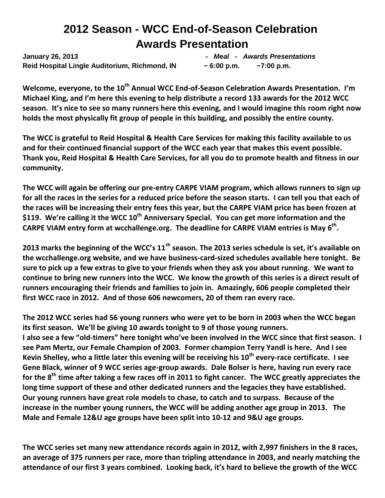# **2012 Season - WCC End-of-Season Celebration Awards Presentation**

**January 26, 2013** *- Meal - Awards Presentations* **Reid Hospital Lingle Auditorium, Richmond, IN ~ 6:00 p.m. ~7:00 p.m.** 

**Welcome, everyone, to the 10th Annual WCC End-of-Season Celebration Awards Presentation. I'm Michael King, and I'm here this evening to help distribute a record 133 awards for the 2012 WCC season. It's nice to see so many runners here this evening, and I would imagine this room right now holds the most physically fit group of people in this building, and possibly the entire county.** 

**The WCC is grateful to Reid Hospital & Health Care Services for making this facility available to us and for their continued financial support of the WCC each year that makes this event possible. Thank you, Reid Hospital & Health Care Services, for all you do to promote health and fitness in our community.**

**The WCC will again be offering our pre-entry CARPE VIAM program, which allows runners to sign up for all the races in the series for a reduced price before the season starts. I can tell you that each of the races will be increasing their entry fees this year, but the CARPE VIAM price has been frozen at \$119. We're calling it the WCC 10th Anniversary Special. You can get more information and the CARPE VIAM entry form at wcchallenge.org. The deadline for CARPE VIAM entries is May 6 th .**

**2013 marks the beginning of the WCC's 11th season. The 2013 series schedule is set, it's available on the wcchallenge.org website, and we have business-card-sized schedules available here tonight. Be sure to pick up a few extras to give to your friends when they ask you about running. We want to continue to bring new runners into the WCC. We know the growth of this series is a direct result of runners encouraging their friends and families to join in. Amazingly, 606 people completed their first WCC race in 2012. And of those 606 newcomers, 20 of them ran every race.** 

**The 2012 WCC series had 56 young runners who were yet to be born in 2003 when the WCC began its first season. We'll be giving 10 awards tonight to 9 of those young runners. I also see a few "old-timers" here tonight who've been involved in the WCC since that first season. I see Pam Mertz, our Female Champion of 2003. Former champion Terry Yandl is here. And I see Kevin Shelley, who a little later this evening will be receiving his 10th every-race certificate. I see Gene Black, winner of 9 WCC series age-group awards. Dale Bolser is here, having run every race for the 8 th time after taking a few races off in 2011 to fight cancer. The WCC greatly appreciates the long time support of these and other dedicated runners and the legacies they have established. Our young runners have great role models to chase, to catch and to surpass. Because of the increase in the number young runners, the WCC will be adding another age group in 2013. The Male and Female 12&U age groups have been split into 10-12 and 9&U age groups.** 

**The WCC series set many new attendance records again in 2012, with 2,997 finishers in the 8 races, an average of 375 runners per race, more than tripling attendance in 2003, and nearly matching the attendance of our first 3 years combined. Looking back, it's hard to believe the growth of the WCC**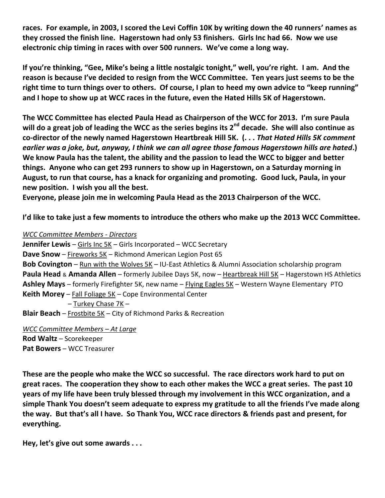**races. For example, in 2003, I scored the Levi Coffin 10K by writing down the 40 runners' names as they crossed the finish line. Hagerstown had only 53 finishers. Girls Inc had 66. Now we use electronic chip timing in races with over 500 runners. We've come a long way.**

**If you're thinking, "Gee, Mike's being a little nostalgic tonight," well, you're right. I am. And the reason is because I've decided to resign from the WCC Committee. Ten years just seems to be the right time to turn things over to others. Of course, I plan to heed my own advice to "keep running" and I hope to show up at WCC races in the future, even the Hated Hills 5K of Hagerstown.**

**The WCC Committee has elected Paula Head as Chairperson of the WCC for 2013. I'm sure Paula will do a great job of leading the WCC as the series begins its 2 nd decade. She will also continue as co-director of the newly named Hagerstown Heartbreak Hill 5K. (. . .** *That Hated Hills 5K comment earlier was a joke, but, anyway, I think we can all agree those famous Hagerstown hills are hated***.) We know Paula has the talent, the ability and the passion to lead the WCC to bigger and better things. Anyone who can get 293 runners to show up in Hagerstown, on a Saturday morning in August, to run that course, has a knack for organizing and promoting. Good luck, Paula, in your new position. I wish you all the best.**

**Everyone, please join me in welcoming Paula Head as the 2013 Chairperson of the WCC.** 

**I'd like to take just a few moments to introduce the others who make up the 2013 WCC Committee.**

#### *WCC Committee Members - Directors*

**Jennifer Lewis** – Girls Inc 5K – Girls Incorporated – WCC Secretary **Dave Snow** – Fireworks 5K – Richmond American Legion Post 65 **Bob Covington** – Run with the Wolves 5K – IU-East Athletics & Alumni Association scholarship program **Paula Head** & **Amanda Allen** – formerly Jubilee Days 5K, now – Heartbreak Hill 5K – Hagerstown HS Athletics **Ashley Mays** – formerly Firefighter 5K, new name – Flying Eagles 5K – Western Wayne Elementary PTO **Keith Morey** – Fall Foliage 5K – Cope Environmental Center – Turkey Chase 7K – **Blair Beach** – Frostbite 5K – City of Richmond Parks & Recreation *WCC Committee Members – At Large* 

**Rod Waltz** – Scorekeeper **Pat Bowers** – WCC Treasurer

**These are the people who make the WCC so successful. The race directors work hard to put on great races. The cooperation they show to each other makes the WCC a great series. The past 10 years of my life have been truly blessed through my involvement in this WCC organization, and a simple Thank You doesn't seem adequate to express my gratitude to all the friends I've made along the way. But that's all I have. So Thank You, WCC race directors & friends past and present, for everything.**

**Hey, let's give out some awards . . .**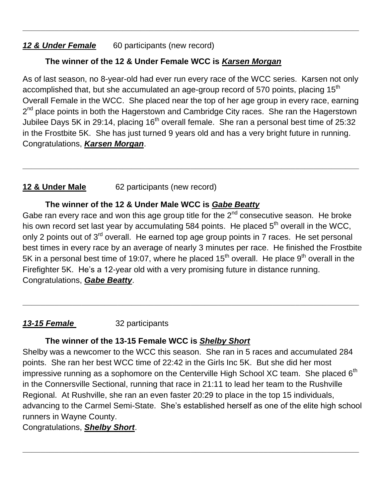## 12 & Under Female 60 participants (new record)

# **The winner of the 12 & Under Female WCC is** *Karsen Morgan*

As of last season, no 8-year-old had ever run every race of the WCC series. Karsen not only accomplished that, but she accumulated an age-group record of 570 points, placing 15<sup>th</sup> Overall Female in the WCC. She placed near the top of her age group in every race, earning 2<sup>nd</sup> place points in both the Hagerstown and Cambridge City races. She ran the Hagerstown Jubilee Days 5K in 29:14, placing  $16<sup>th</sup>$  overall female. She ran a personal best time of 25:32 in the Frostbite 5K. She has just turned 9 years old and has a very bright future in running. Congratulations, *Karsen Morgan*.

**\_\_\_\_\_\_\_\_\_\_\_\_\_\_\_\_\_\_\_\_\_\_\_\_\_\_\_\_\_\_\_\_\_\_\_\_\_\_\_\_\_\_\_\_\_\_\_\_\_\_\_\_\_\_\_\_\_\_\_\_\_\_\_\_\_\_\_\_\_\_\_\_\_\_**

**\_\_\_\_\_\_\_\_\_\_\_\_\_\_\_\_\_\_\_\_\_\_\_\_\_\_\_\_\_\_\_\_\_\_\_\_\_\_\_\_\_\_\_\_\_\_\_\_\_\_\_\_\_\_\_\_\_\_\_\_\_\_\_\_\_\_\_\_\_\_\_\_\_\_**

# **12 & Under Male** 62 participants (new record)

# **The winner of the 12 & Under Male WCC is** *Gabe Beatty*

Gabe ran every race and won this age group title for the  $2<sup>nd</sup>$  consecutive season. He broke his own record set last year by accumulating 584 points. He placed  $5<sup>th</sup>$  overall in the WCC, only 2 points out of 3<sup>rd</sup> overall. He earned top age group points in 7 races. He set personal best times in every race by an average of nearly 3 minutes per race. He finished the Frostbite 5K in a personal best time of 19:07, where he placed 15<sup>th</sup> overall. He place 9<sup>th</sup> overall in the Firefighter 5K. He's a 12-year old with a very promising future in distance running. Congratulations, *Gabe Beatty*.

**\_\_\_\_\_\_\_\_\_\_\_\_\_\_\_\_\_\_\_\_\_\_\_\_\_\_\_\_\_\_\_\_\_\_\_\_\_\_\_\_\_\_\_\_\_\_\_\_\_\_\_\_\_\_\_\_\_\_\_\_\_\_\_\_\_\_\_\_\_\_\_\_\_\_**

## *13-15 Female* 32 participants

## **The winner of the 13-15 Female WCC is** *Shelby Short*

Shelby was a newcomer to the WCC this season. She ran in 5 races and accumulated 284 points. She ran her best WCC time of 22:42 in the Girls Inc 5K. But she did her most impressive running as a sophomore on the Centerville High School XC team. She placed  $6<sup>th</sup>$ in the Connersville Sectional, running that race in 21:11 to lead her team to the Rushville Regional. At Rushville, she ran an even faster 20:29 to place in the top 15 individuals, advancing to the Carmel Semi-State. She's established herself as one of the elite high school runners in Wayne County.

**\_\_\_\_\_\_\_\_\_\_\_\_\_\_\_\_\_\_\_\_\_\_\_\_\_\_\_\_\_\_\_\_\_\_\_\_\_\_\_\_\_\_\_\_\_\_\_\_\_\_\_\_\_\_\_\_\_\_\_\_\_\_\_\_\_\_\_\_\_\_\_\_\_\_**

#### Congratulations, *Shelby Short*.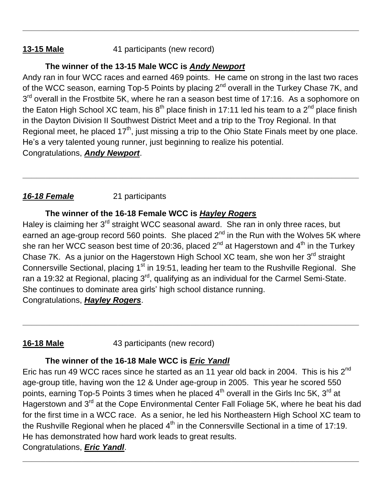# **13-15 Male** 41 participants (new record)

# **The winner of the 13-15 Male WCC is** *Andy Newport*

Andy ran in four WCC races and earned 469 points. He came on strong in the last two races of the WCC season, earning Top-5 Points by placing 2<sup>nd</sup> overall in the Turkey Chase 7K, and 3<sup>rd</sup> overall in the Frostbite 5K, where he ran a season best time of 17:16. As a sophomore on the Eaton High School XC team, his 8<sup>th</sup> place finish in 17:11 led his team to a 2<sup>nd</sup> place finish in the Dayton Division II Southwest District Meet and a trip to the Troy Regional. In that Regional meet, he placed 17<sup>th</sup>, just missing a trip to the Ohio State Finals meet by one place. He's a very talented young runner, just beginning to realize his potential. Congratulations, *Andy Newport*.

**\_\_\_\_\_\_\_\_\_\_\_\_\_\_\_\_\_\_\_\_\_\_\_\_\_\_\_\_\_\_\_\_\_\_\_\_\_\_\_\_\_\_\_\_\_\_\_\_\_\_\_\_\_\_\_\_\_\_\_\_\_\_\_\_\_\_\_\_\_\_\_\_\_\_**

**\_\_\_\_\_\_\_\_\_\_\_\_\_\_\_\_\_\_\_\_\_\_\_\_\_\_\_\_\_\_\_\_\_\_\_\_\_\_\_\_\_\_\_\_\_\_\_\_\_\_\_\_\_\_\_\_\_\_\_\_\_\_\_\_\_\_\_\_\_\_\_\_\_\_**

# *16-18 Female* 21 participants

# **The winner of the 16-18 Female WCC is** *Hayley Rogers*

Haley is claiming her 3<sup>rd</sup> straight WCC seasonal award. She ran in only three races, but earned an age-group record 560 points. She placed  $2<sup>nd</sup>$  in the Run with the Wolves 5K where she ran her WCC season best time of 20:36, placed 2<sup>nd</sup> at Hagerstown and 4<sup>th</sup> in the Turkey Chase 7K. As a junior on the Hagerstown High School XC team, she won her 3<sup>rd</sup> straight Connersville Sectional, placing 1<sup>st</sup> in 19:51, leading her team to the Rushville Regional. She ran a 19:32 at Regional, placing  $3^{\text{rd}}$ , qualifying as an individual for the Carmel Semi-State. She continues to dominate area girls' high school distance running. Congratulations, *Hayley Rogers*.

**\_\_\_\_\_\_\_\_\_\_\_\_\_\_\_\_\_\_\_\_\_\_\_\_\_\_\_\_\_\_\_\_\_\_\_\_\_\_\_\_\_\_\_\_\_\_\_\_\_\_\_\_\_\_\_\_\_\_\_\_\_\_\_\_\_\_\_\_\_\_\_\_\_\_**

# **16-18 Male** 43 participants (new record)

# **The winner of the 16-18 Male WCC is** *Eric Yandl*

Eric has run 49 WCC races since he started as an 11 year old back in 2004. This is his  $2^{nd}$ age-group title, having won the 12 & Under age-group in 2005. This year he scored 550 points, earning Top-5 Points 3 times when he placed 4<sup>th</sup> overall in the Girls Inc 5K, 3<sup>rd</sup> at Hagerstown and 3<sup>rd</sup> at the Cope Environmental Center Fall Foliage 5K, where he beat his dad for the first time in a WCC race. As a senior, he led his Northeastern High School XC team to the Rushville Regional when he placed  $4^{\text{th}}$  in the Connersville Sectional in a time of 17:19. He has demonstrated how hard work leads to great results. Congratulations, *Eric Yandl*.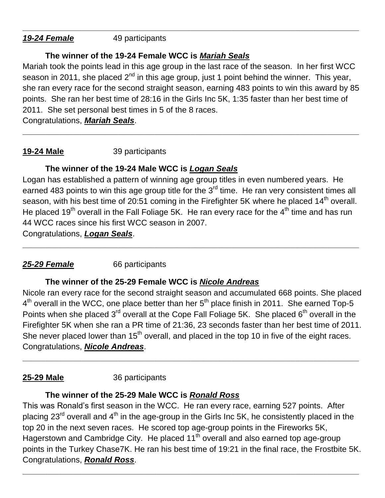*19-24 Female* 49 participants

# **The winner of the 19-24 Female WCC is** *Mariah Seals*

Mariah took the points lead in this age group in the last race of the season. In her first WCC season in 2011, she placed  $2^{nd}$  in this age group, just 1 point behind the winner. This year, she ran every race for the second straight season, earning 483 points to win this award by 85 points. She ran her best time of 28:16 in the Girls Inc 5K, 1:35 faster than her best time of 2011. She set personal best times in 5 of the 8 races.

**\_\_\_\_\_\_\_\_\_\_\_\_\_\_\_\_\_\_\_\_\_\_\_\_\_\_\_\_\_\_\_\_\_\_\_\_\_\_\_\_\_\_\_\_\_\_\_\_\_\_\_\_\_\_\_\_\_\_\_\_\_\_\_\_\_\_\_\_\_\_\_\_\_\_**

**\_\_\_\_\_\_\_\_\_\_\_\_\_\_\_\_\_\_\_\_\_\_\_\_\_\_\_\_\_\_\_\_\_\_\_\_\_\_\_\_\_\_\_\_\_\_\_\_\_\_\_\_\_\_\_\_\_\_\_\_\_\_\_\_\_\_\_\_\_\_\_\_\_\_**

Congratulations, *Mariah Seals*.

# **19-24 Male** 39 participants

# **The winner of the 19-24 Male WCC is** *Logan Seals*

Logan has established a pattern of winning age group titles in even numbered years. He earned 483 points to win this age group title for the 3<sup>rd</sup> time. He ran very consistent times all season, with his best time of 20:51 coming in the Firefighter 5K where he placed  $14<sup>th</sup>$  overall. He placed 19<sup>th</sup> overall in the Fall Foliage 5K. He ran every race for the  $4<sup>th</sup>$  time and has run 44 WCC races since his first WCC season in 2007.

**\_\_\_\_\_\_\_\_\_\_\_\_\_\_\_\_\_\_\_\_\_\_\_\_\_\_\_\_\_\_\_\_\_\_\_\_\_\_\_\_\_\_\_\_\_\_\_\_\_\_\_\_\_\_\_\_\_\_\_\_\_\_\_\_\_\_\_\_\_\_\_\_\_\_**

Congratulations, *Logan Seals*.

# *25-29 Female* 66 participants

# **The winner of the 25-29 Female WCC is** *Nicole Andreas*

Nicole ran every race for the second straight season and accumulated 668 points. She placed  $4<sup>th</sup>$  overall in the WCC, one place better than her  $5<sup>th</sup>$  place finish in 2011. She earned Top-5 Points when she placed  $3^{rd}$  overall at the Cope Fall Foliage 5K. She placed  $6^{th}$  overall in the Firefighter 5K when she ran a PR time of 21:36, 23 seconds faster than her best time of 2011. She never placed lower than 15<sup>th</sup> overall, and placed in the top 10 in five of the eight races. Congratulations, *Nicole Andreas*.

**\_\_\_\_\_\_\_\_\_\_\_\_\_\_\_\_\_\_\_\_\_\_\_\_\_\_\_\_\_\_\_\_\_\_\_\_\_\_\_\_\_\_\_\_\_\_\_\_\_\_\_\_\_\_\_\_\_\_\_\_\_\_\_\_\_\_\_\_\_\_\_\_\_\_**

# **25-29 Male** 36 participants

# **The winner of the 25-29 Male WCC is** *Ronald Ross*

This was Ronald's first season in the WCC. He ran every race, earning 527 points. After placing  $23^{\text{rd}}$  overall and  $4^{\text{th}}$  in the age-group in the Girls Inc 5K, he consistently placed in the top 20 in the next seven races. He scored top age-group points in the Fireworks 5K, Hagerstown and Cambridge City. He placed  $11<sup>th</sup>$  overall and also earned top age-group points in the Turkey Chase7K. He ran his best time of 19:21 in the final race, the Frostbite 5K. Congratulations, *Ronald Ross*.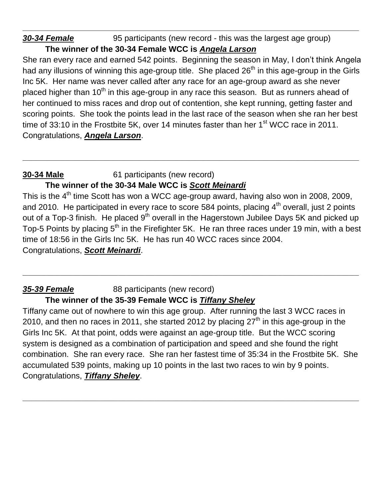# **30-34 Female** 95 participants (new record - this was the largest age group) **The winner of the 30-34 Female WCC is** *Angela Larson*

She ran every race and earned 542 points. Beginning the season in May, I don't think Angela had any illusions of winning this age-group title. She placed 26<sup>th</sup> in this age-group in the Girls Inc 5K. Her name was never called after any race for an age-group award as she never placed higher than  $10<sup>th</sup>$  in this age-group in any race this season. But as runners ahead of her continued to miss races and drop out of contention, she kept running, getting faster and scoring points. She took the points lead in the last race of the season when she ran her best time of 33:10 in the Frostbite 5K, over 14 minutes faster than her 1<sup>st</sup> WCC race in 2011. Congratulations, *Angela Larson*.

**\_\_\_\_\_\_\_\_\_\_\_\_\_\_\_\_\_\_\_\_\_\_\_\_\_\_\_\_\_\_\_\_\_\_\_\_\_\_\_\_\_\_\_\_\_\_\_\_\_\_\_\_\_\_\_\_\_\_\_\_\_\_\_\_\_\_\_\_\_\_\_\_\_\_**

**\_\_\_\_\_\_\_\_\_\_\_\_\_\_\_\_\_\_\_\_\_\_\_\_\_\_\_\_\_\_\_\_\_\_\_\_\_\_\_\_\_\_\_\_\_\_\_\_\_\_\_\_\_\_\_\_\_\_\_\_\_\_\_\_\_\_\_\_\_\_\_\_\_\_**

# **30-34 Male** 61 participants (new record)

# **The winner of the 30-34 Male WCC is** *Scott Meinardi*

This is the 4<sup>th</sup> time Scott has won a WCC age-group award, having also won in 2008, 2009, and 2010. He participated in every race to score 584 points, placing  $4^{\text{th}}$  overall, just 2 points out of a Top-3 finish. He placed 9<sup>th</sup> overall in the Hagerstown Jubilee Days 5K and picked up Top-5 Points by placing 5<sup>th</sup> in the Firefighter 5K. He ran three races under 19 min, with a best time of 18:56 in the Girls Inc 5K. He has run 40 WCC races since 2004. Congratulations, *Scott Meinardi*.

**\_\_\_\_\_\_\_\_\_\_\_\_\_\_\_\_\_\_\_\_\_\_\_\_\_\_\_\_\_\_\_\_\_\_\_\_\_\_\_\_\_\_\_\_\_\_\_\_\_\_\_\_\_\_\_\_\_\_\_\_\_\_\_\_\_\_\_\_\_\_\_\_\_\_**

#### *35-39 Female* 88 participants (new record) **The winner of the 35-39 Female WCC is** *Tiffany Sheley*

Tiffany came out of nowhere to win this age group. After running the last 3 WCC races in 2010, and then no races in 2011, she started 2012 by placing  $27<sup>th</sup>$  in this age-group in the Girls Inc 5K. At that point, odds were against an age-group title. But the WCC scoring system is designed as a combination of participation and speed and she found the right combination. She ran every race. She ran her fastest time of 35:34 in the Frostbite 5K. She accumulated 539 points, making up 10 points in the last two races to win by 9 points. Congratulations, *Tiffany Sheley*.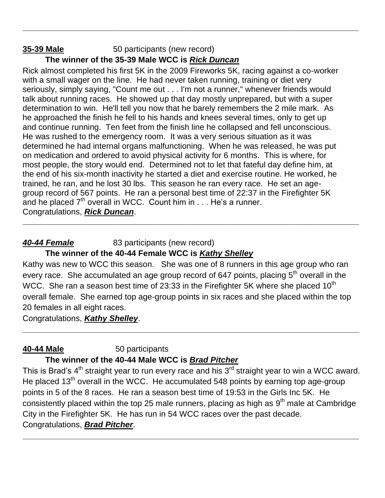# **35-39 Male** 50 participants (new record) **The winner of the 35-39 Male WCC is** *Rick Duncan*

Rick almost completed his first 5K in the 2009 Fireworks 5K, racing against a co-worker with a small wager on the line. He had never taken running, training or diet very seriously, simply saying, "Count me out . . . I'm not a runner," whenever friends would talk about running races. He showed up that day mostly unprepared, but with a super determination to win. He'll tell you now that he barely remembers the 2 mile mark. As he approached the finish he fell to his hands and knees several times, only to get up and continue running. Ten feet from the finish line he collapsed and fell unconscious. He was rushed to the emergency room. It was a very serious situation as it was determined he had internal organs malfunctioning. When he was released, he was put on medication and ordered to avoid physical activity for 6 months. This is where, for most people, the story would end. Determined not to let that fateful day define him, at the end of his six-month inactivity he started a diet and exercise routine. He worked, he trained, he ran, and he lost 30 lbs. This season he ran every race. He set an agegroup record of 567 points. He ran a personal best time of 22:37 in the Firefighter 5K and he placed  $7<sup>th</sup>$  overall in WCC. Count him in  $\dots$  He's a runner. Congratulations, *Rick Duncan*.

**\_\_\_\_\_\_\_\_\_\_\_\_\_\_\_\_\_\_\_\_\_\_\_\_\_\_\_\_\_\_\_\_\_\_\_\_\_\_\_\_\_\_\_\_\_\_\_\_\_\_\_\_\_\_\_\_\_\_\_\_\_\_\_\_\_\_\_\_\_\_\_\_\_\_**

# **40-44 Female** 83 participants (new record)

#### **The winner of the 40-44 Female WCC is** *Kathy Shelley*

Kathy was new to WCC this season. She was one of 8 runners in this age group who ran every race. She accumulated an age group record of 647 points, placing 5<sup>th</sup> overall in the WCC. She ran a season best time of 23:33 in the Firefighter 5K where she placed  $10^{th}$ overall female. She earned top age-group points in six races and she placed within the top 20 females in all eight races.

**\_\_\_\_\_\_\_\_\_\_\_\_\_\_\_\_\_\_\_\_\_\_\_\_\_\_\_\_\_\_\_\_\_\_\_\_\_\_\_\_\_\_\_\_\_\_\_\_\_\_\_\_\_\_\_\_\_\_\_\_\_\_\_\_\_\_\_\_\_\_\_\_\_\_**

**\_\_\_\_\_\_\_\_\_\_\_\_\_\_\_\_\_\_\_\_\_\_\_\_\_\_\_\_\_\_\_\_\_\_\_\_\_\_\_\_\_\_\_\_\_\_\_\_\_\_\_\_\_\_\_\_\_\_\_\_\_\_\_\_\_\_\_\_\_\_\_\_\_\_**

Congratulations, *Kathy Shelley*.

#### **40-44 Male** 50 participants **The winner of the 40-44 Male WCC is** *Brad Pitcher*

This is Brad's 4<sup>th</sup> straight year to run every race and his 3<sup>rd</sup> straight year to win a WCC award. He placed 13<sup>th</sup> overall in the WCC. He accumulated 548 points by earning top age-group points in 5 of the 8 races. He ran a season best time of 19:53 in the Girls Inc 5K. He consistently placed within the top 25 male runners, placing as high as  $9<sup>th</sup>$  male at Cambridge City in the Firefighter 5K. He has run in 54 WCC races over the past decade. Congratulations, *Brad Pitcher*.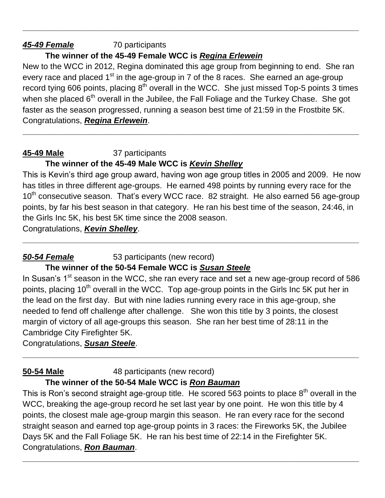# *45-49 Female* 70 participants

# **The winner of the 45-49 Female WCC is** *Regina Erlewein*

New to the WCC in 2012, Regina dominated this age group from beginning to end. She ran every race and placed  $1<sup>st</sup>$  in the age-group in 7 of the 8 races. She earned an age-group record tying 606 points, placing  $8<sup>th</sup>$  overall in the WCC. She just missed Top-5 points 3 times when she placed  $6<sup>th</sup>$  overall in the Jubilee, the Fall Foliage and the Turkey Chase. She got faster as the season progressed, running a season best time of 21:59 in the Frostbite 5K. Congratulations, *Regina Erlewein*.

**\_\_\_\_\_\_\_\_\_\_\_\_\_\_\_\_\_\_\_\_\_\_\_\_\_\_\_\_\_\_\_\_\_\_\_\_\_\_\_\_\_\_\_\_\_\_\_\_\_\_\_\_\_\_\_\_\_\_\_\_\_\_\_\_\_\_\_\_\_\_\_\_\_\_**

**\_\_\_\_\_\_\_\_\_\_\_\_\_\_\_\_\_\_\_\_\_\_\_\_\_\_\_\_\_\_\_\_\_\_\_\_\_\_\_\_\_\_\_\_\_\_\_\_\_\_\_\_\_\_\_\_\_\_\_\_\_\_\_\_\_\_\_\_\_\_\_\_\_\_**

#### **45-49 Male** 37 participants **The winner of the 45-49 Male WCC is** *Kevin Shelley*

This is Kevin's third age group award, having won age group titles in 2005 and 2009. He now has titles in three different age-groups. He earned 498 points by running every race for the  $10<sup>th</sup>$  consecutive season. That's every WCC race. 82 straight. He also earned 56 age-group points, by far his best season in that category. He ran his best time of the season, 24:46, in the Girls Inc 5K, his best 5K time since the 2008 season.

**\_\_\_\_\_\_\_\_\_\_\_\_\_\_\_\_\_\_\_\_\_\_\_\_\_\_\_\_\_\_\_\_\_\_\_\_\_\_\_\_\_\_\_\_\_\_\_\_\_\_\_\_\_\_\_\_\_\_\_\_\_\_\_\_\_\_\_\_\_\_\_\_\_\_**

Congratulations, *Kevin Shelley*.

# **50-54 Female** 53 participants (new record)

## **The winner of the 50-54 Female WCC is** *Susan Steele*

In Susan's  $1<sup>st</sup>$  season in the WCC, she ran every race and set a new age-group record of 586 points, placing 10<sup>th</sup> overall in the WCC. Top age-group points in the Girls Inc 5K put her in the lead on the first day. But with nine ladies running every race in this age-group, she needed to fend off challenge after challenge. She won this title by 3 points, the closest margin of victory of all age-groups this season. She ran her best time of 28:11 in the Cambridge City Firefighter 5K.

**\_\_\_\_\_\_\_\_\_\_\_\_\_\_\_\_\_\_\_\_\_\_\_\_\_\_\_\_\_\_\_\_\_\_\_\_\_\_\_\_\_\_\_\_\_\_\_\_\_\_\_\_\_\_\_\_\_\_\_\_\_\_\_\_\_\_\_\_\_\_\_\_\_\_**

Congratulations, *Susan Steele*.

#### **50-54 Male** 48 participants (new record) **The winner of the 50-54 Male WCC is** *Ron Bauman*

This is Ron's second straight age-group title. He scored 563 points to place  $8<sup>th</sup>$  overall in the WCC, breaking the age-group record he set last year by one point. He won this title by 4 points, the closest male age-group margin this season. He ran every race for the second straight season and earned top age-group points in 3 races: the Fireworks 5K, the Jubilee Days 5K and the Fall Foliage 5K. He ran his best time of 22:14 in the Firefighter 5K. Congratulations, *Ron Bauman*.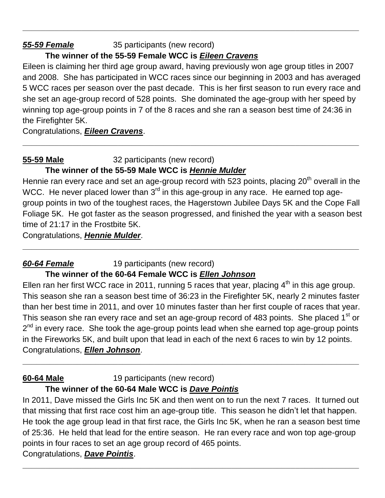#### *55-59 Female* 35 participants (new record)

## **The winner of the 55-59 Female WCC is** *Eileen Cravens*

Eileen is claiming her third age group award, having previously won age group titles in 2007 and 2008. She has participated in WCC races since our beginning in 2003 and has averaged 5 WCC races per season over the past decade. This is her first season to run every race and she set an age-group record of 528 points. She dominated the age-group with her speed by winning top age-group points in 7 of the 8 races and she ran a season best time of 24:36 in the Firefighter 5K.

**\_\_\_\_\_\_\_\_\_\_\_\_\_\_\_\_\_\_\_\_\_\_\_\_\_\_\_\_\_\_\_\_\_\_\_\_\_\_\_\_\_\_\_\_\_\_\_\_\_\_\_\_\_\_\_\_\_\_\_\_\_\_\_\_\_\_\_\_\_\_\_\_\_\_**

**\_\_\_\_\_\_\_\_\_\_\_\_\_\_\_\_\_\_\_\_\_\_\_\_\_\_\_\_\_\_\_\_\_\_\_\_\_\_\_\_\_\_\_\_\_\_\_\_\_\_\_\_\_\_\_\_\_\_\_\_\_\_\_\_\_\_\_\_\_\_\_\_\_\_**

Congratulations, *Eileen Cravens*.

#### **55-59 Male** 32 participants (new record)

#### **The winner of the 55-59 Male WCC is** *Hennie Mulder*

Hennie ran every race and set an age-group record with 523 points, placing 20<sup>th</sup> overall in the WCC. He never placed lower than  $3<sup>rd</sup>$  in this age-group in any race. He earned top agegroup points in two of the toughest races, the Hagerstown Jubilee Days 5K and the Cope Fall Foliage 5K. He got faster as the season progressed, and finished the year with a season best time of 21:17 in the Frostbite 5K.

**\_\_\_\_\_\_\_\_\_\_\_\_\_\_\_\_\_\_\_\_\_\_\_\_\_\_\_\_\_\_\_\_\_\_\_\_\_\_\_\_\_\_\_\_\_\_\_\_\_\_\_\_\_\_\_\_\_\_\_\_\_\_\_\_\_\_\_\_\_\_\_\_\_\_**

Congratulations, *Hennie Mulder*.

# *60-64 Female* 19 participants (new record)

#### **The winner of the 60-64 Female WCC is** *Ellen Johnson*

Ellen ran her first WCC race in 2011, running 5 races that year, placing  $4<sup>th</sup>$  in this age group. This season she ran a season best time of 36:23 in the Firefighter 5K, nearly 2 minutes faster than her best time in 2011, and over 10 minutes faster than her first couple of races that year. This season she ran every race and set an age-group record of 483 points. She placed 1<sup>st</sup> or 2<sup>nd</sup> in every race. She took the age-group points lead when she earned top age-group points in the Fireworks 5K, and built upon that lead in each of the next 6 races to win by 12 points. Congratulations, *Ellen Johnson*.

**\_\_\_\_\_\_\_\_\_\_\_\_\_\_\_\_\_\_\_\_\_\_\_\_\_\_\_\_\_\_\_\_\_\_\_\_\_\_\_\_\_\_\_\_\_\_\_\_\_\_\_\_\_\_\_\_\_\_\_\_\_\_\_\_\_\_\_\_\_\_\_\_\_\_**

**60-64 Male** 19 participants (new record)

## **The winner of the 60-64 Male WCC is** *Dave Pointis*

In 2011, Dave missed the Girls Inc 5K and then went on to run the next 7 races. It turned out that missing that first race cost him an age-group title. This season he didn't let that happen. He took the age group lead in that first race, the Girls Inc 5K, when he ran a season best time of 25:36. He held that lead for the entire season. He ran every race and won top age-group points in four races to set an age group record of 465 points.

**\_\_\_\_\_\_\_\_\_\_\_\_\_\_\_\_\_\_\_\_\_\_\_\_\_\_\_\_\_\_\_\_\_\_\_\_\_\_\_\_\_\_\_\_\_\_\_\_\_\_\_\_\_\_\_\_\_\_\_\_\_\_\_\_\_\_\_\_\_\_\_\_\_\_**

## Congratulations, *Dave Pointis*.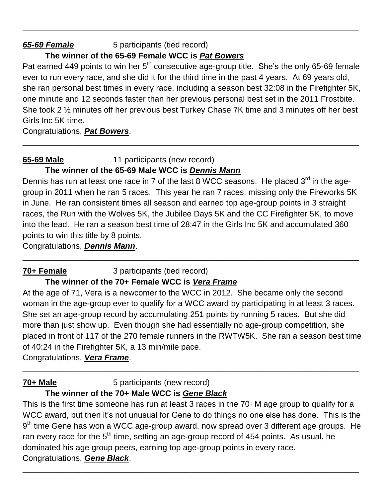#### *65-69 Female* 5 participants (tied record)

## **The winner of the 65-69 Female WCC is** *Pat Bowers*

Pat earned 449 points to win her  $5<sup>th</sup>$  consecutive age-group title. She's the only 65-69 female ever to run every race, and she did it for the third time in the past 4 years. At 69 years old, she ran personal best times in every race, including a season best 32:08 in the Firefighter 5K, one minute and 12 seconds faster than her previous personal best set in the 2011 Frostbite. She took 2 ½ minutes off her previous best Turkey Chase 7K time and 3 minutes off her best Girls Inc 5K time.

**\_\_\_\_\_\_\_\_\_\_\_\_\_\_\_\_\_\_\_\_\_\_\_\_\_\_\_\_\_\_\_\_\_\_\_\_\_\_\_\_\_\_\_\_\_\_\_\_\_\_\_\_\_\_\_\_\_\_\_\_\_\_\_\_\_\_\_\_\_\_\_\_\_\_**

**\_\_\_\_\_\_\_\_\_\_\_\_\_\_\_\_\_\_\_\_\_\_\_\_\_\_\_\_\_\_\_\_\_\_\_\_\_\_\_\_\_\_\_\_\_\_\_\_\_\_\_\_\_\_\_\_\_\_\_\_\_\_\_\_\_\_\_\_\_\_\_\_\_\_**

Congratulations, *Pat Bowers*.

# **65-69 Male** 11 participants (new record)

## **The winner of the 65-69 Male WCC is** *Dennis Mann*

Dennis has run at least one race in 7 of the last 8 WCC seasons. He placed  $3<sup>rd</sup>$  in the agegroup in 2011 when he ran 5 races. This year he ran 7 races, missing only the Fireworks 5K in June. He ran consistent times all season and earned top age-group points in 3 straight races, the Run with the Wolves 5K, the Jubilee Days 5K and the CC Firefighter 5K, to move into the lead. He ran a season best time of 28:47 in the Girls Inc 5K and accumulated 360 points to win this title by 8 points.

**\_\_\_\_\_\_\_\_\_\_\_\_\_\_\_\_\_\_\_\_\_\_\_\_\_\_\_\_\_\_\_\_\_\_\_\_\_\_\_\_\_\_\_\_\_\_\_\_\_\_\_\_\_\_\_\_\_\_\_\_\_\_\_\_\_\_\_\_\_\_\_\_\_\_**

Congratulations, *Dennis Mann*.

# **70+ Female** 3 participants (tied record) **The winner of the 70+ Female WCC is** *Vera Frame*

At the age of 71, Vera is a newcomer to the WCC in 2012. She became only the second woman in the age-group ever to qualify for a WCC award by participating in at least 3 races. She set an age-group record by accumulating 251 points by running 5 races. But she did more than just show up. Even though she had essentially no age-group competition, she placed in front of 117 of the 270 female runners in the RWTW5K. She ran a season best time of 40:24 in the Firefighter 5K, a 13 min/mile pace.

**\_\_\_\_\_\_\_\_\_\_\_\_\_\_\_\_\_\_\_\_\_\_\_\_\_\_\_\_\_\_\_\_\_\_\_\_\_\_\_\_\_\_\_\_\_\_\_\_\_\_\_\_\_\_\_\_\_\_\_\_\_\_\_\_\_\_\_\_\_\_\_\_\_\_**

Congratulations, *Vera Frame*.

# **70+ Male** 5 participants (new record)

# **The winner of the 70+ Male WCC is** *Gene Black*

This is the first time someone has run at least 3 races in the 70+M age group to qualify for a WCC award, but then it's not unusual for Gene to do things no one else has done. This is the  $9<sup>th</sup>$  time Gene has won a WCC age-group award, now spread over 3 different age groups. He ran every race for the 5<sup>th</sup> time, setting an age-group record of 454 points. As usual, he dominated his age group peers, earning top age-group points in every race. Congratulations, *Gene Black*.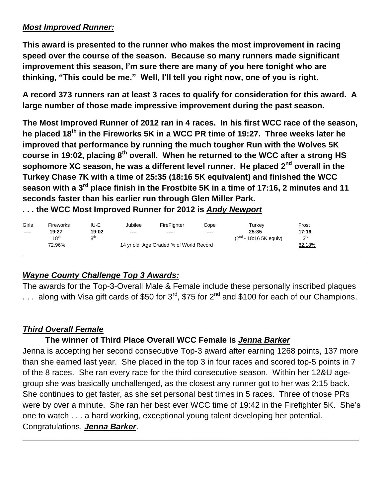#### *Most Improved Runner:*

**This award is presented to the runner who makes the most improvement in racing speed over the course of the season. Because so many runners made significant improvement this season, I'm sure there are many of you here tonight who are thinking, "This could be me." Well, I'll tell you right now, one of you is right.**

**A record 373 runners ran at least 3 races to qualify for consideration for this award. A large number of those made impressive improvement during the past season.**

**The Most Improved Runner of 2012 ran in 4 races. In his first WCC race of the season, he placed 18th in the Fireworks 5K in a WCC PR time of 19:27. Three weeks later he improved that performance by running the much tougher Run with the Wolves 5K course in 19:02, placing 8th overall. When he returned to the WCC after a strong HS sophomore XC season, he was a different level runner. He placed 2 nd overall in the Turkey Chase 7K with a time of 25:35 (18:16 5K equivalent) and finished the WCC season with a 3rd place finish in the Frostbite 5K in a time of 17:16, 2 minutes and 11 seconds faster than his earlier run through Glen Miller Park.** 

**. . . the WCC Most Improved Runner for 2012 is** *Andy Newport*

| Girls                  | <b>Fireworks</b> | IU-E            | Jubilee                                | FireFighter | Cope | Turkev                             | Frost           |  |
|------------------------|------------------|-----------------|----------------------------------------|-------------|------|------------------------------------|-----------------|--|
| $\qquad \qquad \cdots$ | 19:27            | 19:02           | ----                                   | $-- -$      | ---- | 25:35                              | 17:16           |  |
|                        | 18 <sup>th</sup> | $R^{\text{th}}$ |                                        |             |      | (2 <sup>nd</sup> - 18:16 5K equiv) | 3 <sup>rd</sup> |  |
|                        | 72.96%           |                 | 14 yr old Age Graded % of World Record |             |      |                                    | 82.18%          |  |
|                        |                  |                 |                                        |             |      |                                    |                 |  |

## *Wayne County Challenge Top 3 Awards:*

The awards for the Top-3-Overall Male & Female include these personally inscribed plaques ... along with Visa gift cards of \$50 for  $3^{rd}$ , \$75 for  $2^{nd}$  and \$100 for each of our Champions.

# *Third Overall Female*

## **The winner of Third Place Overall WCC Female is** *Jenna Barker*

Jenna is accepting her second consecutive Top-3 award after earning 1268 points, 137 more than she earned last year. She placed in the top 3 in four races and scored top-5 points in 7 of the 8 races. She ran every race for the third consecutive season. Within her 12&U agegroup she was basically unchallenged, as the closest any runner got to her was 2:15 back. She continues to get faster, as she set personal best times in 5 races. Three of those PRs were by over a minute. She ran her best ever WCC time of 19:42 in the Firefighter 5K. She's one to watch . . . a hard working, exceptional young talent developing her potential. Congratulations, *Jenna Barker*.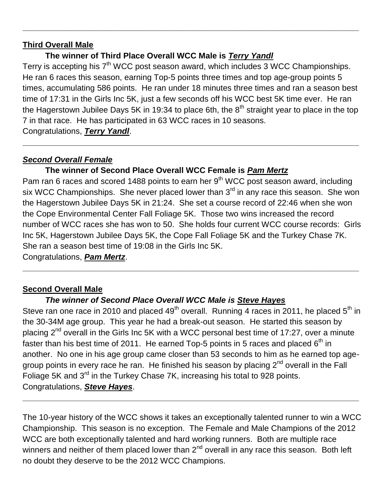#### **Third Overall Male**

#### **The winner of Third Place Overall WCC Male is** *Terry Yandl*

Terry is accepting his 7<sup>th</sup> WCC post season award, which includes 3 WCC Championships. He ran 6 races this season, earning Top-5 points three times and top age-group points 5 times, accumulating 586 points. He ran under 18 minutes three times and ran a season best time of 17:31 in the Girls Inc 5K, just a few seconds off his WCC best 5K time ever. He ran the Hagerstown Jubilee Days 5K in 19:34 to place 6th, the  $8<sup>th</sup>$  straight year to place in the top 7 in that race. He has participated in 63 WCC races in 10 seasons. Congratulations, *Terry Yandl*.

**\_\_\_\_\_\_\_\_\_\_\_\_\_\_\_\_\_\_\_\_\_\_\_\_\_\_\_\_\_\_\_\_\_\_\_\_\_\_\_\_\_\_\_\_\_\_\_\_\_\_\_\_\_\_\_\_\_\_\_\_\_\_\_\_\_\_\_\_\_\_\_\_\_\_**

**\_\_\_\_\_\_\_\_\_\_\_\_\_\_\_\_\_\_\_\_\_\_\_\_\_\_\_\_\_\_\_\_\_\_\_\_\_\_\_\_\_\_\_\_\_\_\_\_\_\_\_\_\_\_\_\_\_\_\_\_\_\_\_\_\_\_\_\_\_\_\_\_\_\_**

#### *Second Overall Female*

#### **The winner of Second Place Overall WCC Female is** *Pam Mertz*

Pam ran 6 races and scored 1488 points to earn her 9<sup>th</sup> WCC post season award, including six WCC Championships. She never placed lower than  $3<sup>rd</sup>$  in any race this season. She won the Hagerstown Jubilee Days 5K in 21:24. She set a course record of 22:46 when she won the Cope Environmental Center Fall Foliage 5K. Those two wins increased the record number of WCC races she has won to 50. She holds four current WCC course records: Girls Inc 5K, Hagerstown Jubilee Days 5K, the Cope Fall Foliage 5K and the Turkey Chase 7K. She ran a season best time of 19:08 in the Girls Inc 5K.

**\_\_\_\_\_\_\_\_\_\_\_\_\_\_\_\_\_\_\_\_\_\_\_\_\_\_\_\_\_\_\_\_\_\_\_\_\_\_\_\_\_\_\_\_\_\_\_\_\_\_\_\_\_\_\_\_\_\_\_\_\_\_\_\_\_\_\_\_\_\_\_\_\_\_**

Congratulations, *Pam Mertz*.

#### **Second Overall Male**

## *The winner of Second Place Overall WCC Male is Steve Hayes*

Steve ran one race in 2010 and placed  $49<sup>th</sup>$  overall. Running 4 races in 2011, he placed  $5<sup>th</sup>$  in the 30-34M age group. This year he had a break-out season. He started this season by placing  $2^{nd}$  overall in the Girls Inc 5K with a WCC personal best time of 17:27, over a minute faster than his best time of 2011. He earned Top-5 points in 5 races and placed 6<sup>th</sup> in another. No one in his age group came closer than 53 seconds to him as he earned top agegroup points in every race he ran. He finished his season by placing 2<sup>nd</sup> overall in the Fall Foliage 5K and 3<sup>rd</sup> in the Turkey Chase 7K, increasing his total to 928 points. Congratulations, *Steve Hayes*.

The 10-year history of the WCC shows it takes an exceptionally talented runner to win a WCC Championship. This season is no exception. The Female and Male Champions of the 2012 WCC are both exceptionally talented and hard working runners. Both are multiple race winners and neither of them placed lower than  $2<sup>nd</sup>$  overall in any race this season. Both left no doubt they deserve to be the 2012 WCC Champions.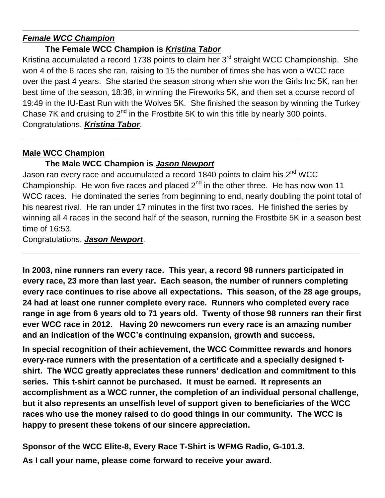## *Female WCC Champion*

## **The Female WCC Champion is** *Kristina Tabor*

Kristina accumulated a record 1738 points to claim her 3<sup>rd</sup> straight WCC Championship. She won 4 of the 6 races she ran, raising to 15 the number of times she has won a WCC race over the past 4 years. She started the season strong when she won the Girls Inc 5K, ran her best time of the season, 18:38, in winning the Fireworks 5K, and then set a course record of 19:49 in the IU-East Run with the Wolves 5K. She finished the season by winning the Turkey Chase 7K and cruising to  $2^{nd}$  in the Frostbite 5K to win this title by nearly 300 points. Congratulations, *Kristina Tabor*.

**\_\_\_\_\_\_\_\_\_\_\_\_\_\_\_\_\_\_\_\_\_\_\_\_\_\_\_\_\_\_\_\_\_\_\_\_\_\_\_\_\_\_\_\_\_\_\_\_\_\_\_\_\_\_\_\_\_\_\_\_\_\_\_\_\_\_\_\_\_\_\_\_\_\_**

**\_\_\_\_\_\_\_\_\_\_\_\_\_\_\_\_\_\_\_\_\_\_\_\_\_\_\_\_\_\_\_\_\_\_\_\_\_\_\_\_\_\_\_\_\_\_\_\_\_\_\_\_\_\_\_\_\_\_\_\_\_\_\_\_\_\_\_\_\_\_\_\_\_\_**

# **Male WCC Champion**

# **The Male WCC Champion is** *Jason Newport*

Jason ran every race and accumulated a record 1840 points to claim his 2<sup>nd</sup> WCC Championship. He won five races and placed  $2^{nd}$  in the other three. He has now won 11 WCC races. He dominated the series from beginning to end, nearly doubling the point total of his nearest rival. He ran under 17 minutes in the first two races. He finished the series by winning all 4 races in the second half of the season, running the Frostbite 5K in a season best time of 16:53.

**\_\_\_\_\_\_\_\_\_\_\_\_\_\_\_\_\_\_\_\_\_\_\_\_\_\_\_\_\_\_\_\_\_\_\_\_\_\_\_\_\_\_\_\_\_\_\_\_\_\_\_\_\_\_\_\_\_\_\_\_\_\_\_\_\_\_\_\_\_\_\_\_\_\_**

Congratulations, *Jason Newport*.

**In 2003, nine runners ran every race. This year, a record 98 runners participated in every race, 23 more than last year. Each season, the number of runners completing every race continues to rise above all expectations. This season, of the 28 age groups, 24 had at least one runner complete every race. Runners who completed every race range in age from 6 years old to 71 years old. Twenty of those 98 runners ran their first ever WCC race in 2012. Having 20 newcomers run every race is an amazing number and an indication of the WCC's continuing expansion, growth and success.**

**In special recognition of their achievement, the WCC Committee rewards and honors every-race runners with the presentation of a certificate and a specially designed tshirt. The WCC greatly appreciates these runners' dedication and commitment to this series. This t-shirt cannot be purchased. It must be earned. It represents an accomplishment as a WCC runner, the completion of an individual personal challenge, but it also represents an unselfish level of support given to beneficiaries of the WCC races who use the money raised to do good things in our community. The WCC is happy to present these tokens of our sincere appreciation.** 

**Sponsor of the WCC Elite-8, Every Race T-Shirt is WFMG Radio, G-101.3.**

**As I call your name, please come forward to receive your award.**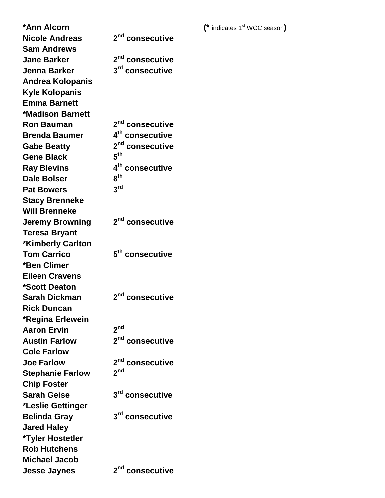**\*Ann Alcorn (\*** indicates 1<sup>st</sup> WCC season) **Nicole Andreas 2 nd consecutive Sam Andrews Jane Barker 2 nd consecutive Jenna Barker 3 rd consecutive Andrea Kolopanis Kyle Kolopanis Emma Barnett \*Madison Barnett Ron Bauman 2 nd consecutive Brenda Baumer 4 th consecutive Gabe Beatty 2 nd consecutive Gene Black 5 th Ray Blevins 4 th consecutive Dale Bolser th Pat Bowers** 3<sup>rd</sup> **Stacy Brenneke Will Brenneke Jeremy Browning 2 nd consecutive Teresa Bryant \*Kimberly Carlton Tom Carrico 5 th consecutive \*Ben Climer Eileen Cravens \*Scott Deaton Sarah Dickman nd consecutive Rick Duncan \*Regina Erlewein Aaron Ervin** 2<sup>nd</sup> **Austin Farlow 2 nd consecutive Cole Farlow Joe Farlow 2** 2<sup>nd</sup> consecutive **Stephanie Farlow 2 nd Chip Foster Sarah Geise rd consecutive \*Leslie Gettinger Belinda Gray rd consecutive Jared Haley \*Tyler Hostetler Rob Hutchens Michael Jacob Jesse Jaynes 2**

2<sup>nd</sup> consecutive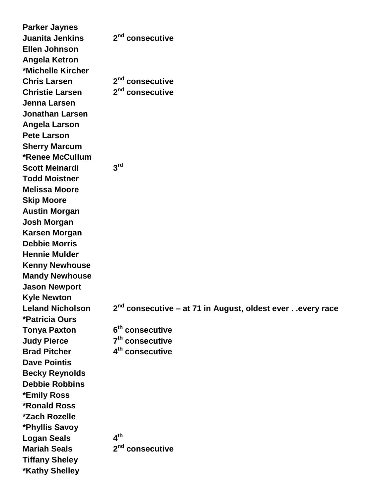| <b>Parker Jaynes</b>        |                                                                      |
|-----------------------------|----------------------------------------------------------------------|
| <b>Juanita Jenkins</b>      | 2 <sup>nd</sup> consecutive                                          |
| <b>Ellen Johnson</b>        |                                                                      |
| <b>Angela Ketron</b>        |                                                                      |
| *Michelle Kircher           |                                                                      |
| <b>Chris Larsen</b>         | 2 <sup>nd</sup> consecutive                                          |
| <b>Christie Larsen</b>      | 2 <sup>nd</sup> consecutive                                          |
| <b>Jenna Larsen</b>         |                                                                      |
| <b>Jonathan Larsen</b>      |                                                                      |
| Angela Larson               |                                                                      |
| <b>Pete Larson</b>          |                                                                      |
| <b>Sherry Marcum</b>        |                                                                      |
| <b>*Renee McCullum</b>      |                                                                      |
| <b>Scott Meinardi</b>       | 3 <sup>rd</sup>                                                      |
| <b>Todd Moistner</b>        |                                                                      |
| <b>Melissa Moore</b>        |                                                                      |
| <b>Skip Moore</b>           |                                                                      |
| <b>Austin Morgan</b>        |                                                                      |
| <b>Josh Morgan</b>          |                                                                      |
| <b>Karsen Morgan</b>        |                                                                      |
| <b>Debbie Morris</b>        |                                                                      |
| <b>Hennie Mulder</b>        |                                                                      |
| <b>Kenny Newhouse</b>       |                                                                      |
| <b>Mandy Newhouse</b>       |                                                                      |
| <b>Jason Newport</b>        |                                                                      |
| <b>Kyle Newton</b>          |                                                                      |
| <b>Leland Nicholson</b>     | 2 <sup>nd</sup> consecutive - at 71 in August, oldest everevery race |
| *Patricia Ours              |                                                                      |
| <b>Tonya Paxton</b>         | 6 <sup>th</sup> consecutive                                          |
| <b>Judy Pierce</b>          | 7 <sup>th</sup> consecutive                                          |
| <b>Brad Pitcher</b>         | 4 <sup>th</sup> consecutive                                          |
| <b>Dave Pointis</b>         |                                                                      |
| <b>Becky Reynolds</b>       |                                                                      |
| <b>Debbie Robbins</b>       |                                                                      |
| *Emily Ross                 |                                                                      |
| <b>*Ronald Ross</b>         |                                                                      |
| <i><b>*Zach Rozelle</b></i> |                                                                      |
| *Phyllis Savoy              |                                                                      |
| <b>Logan Seals</b>          | 4 <sup>th</sup>                                                      |
| <b>Mariah Seals</b>         | 2 <sup>nd</sup> consecutive                                          |
| <b>Tiffany Sheley</b>       |                                                                      |
| <b>*Kathy Shelley</b>       |                                                                      |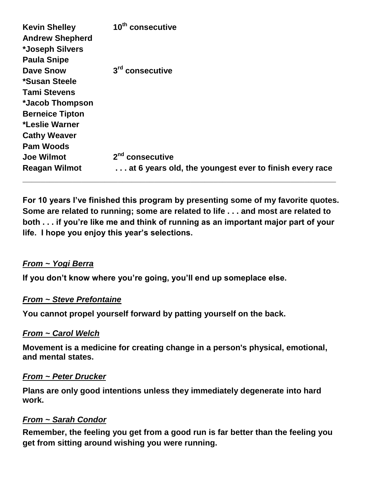| <b>Kevin Shelley</b><br><b>Andrew Shepherd</b><br>*Joseph Silvers<br><b>Paula Snipe</b> | 10 <sup>th</sup> consecutive                           |
|-----------------------------------------------------------------------------------------|--------------------------------------------------------|
| <b>Dave Snow</b>                                                                        | 3 <sup>rd</sup> consecutive                            |
| *Susan Steele                                                                           |                                                        |
| <b>Tami Stevens</b>                                                                     |                                                        |
| *Jacob Thompson                                                                         |                                                        |
| <b>Berneice Tipton</b>                                                                  |                                                        |
| *Leslie Warner                                                                          |                                                        |
| <b>Cathy Weaver</b>                                                                     |                                                        |
| <b>Pam Woods</b>                                                                        |                                                        |
| <b>Joe Wilmot</b>                                                                       | 2 <sup>nd</sup> consecutive                            |
| <b>Reagan Wilmot</b>                                                                    | at 6 years old, the youngest ever to finish every race |

**For 10 years I've finished this program by presenting some of my favorite quotes. Some are related to running; some are related to life . . . and most are related to both . . . if you're like me and think of running as an important major part of your life. I hope you enjoy this year's selections.** 

#### *From ~ Yogi Berra*

**If you don't know where you're going, you'll end up someplace else.**

#### *From ~ Steve Prefontaine*

**You cannot propel yourself forward by patting yourself on the back.**

#### *From ~ Carol Welch*

**Movement is a medicine for creating change in a person's physical, emotional, and mental states.**

#### *From ~ Peter Drucker*

**Plans are only good intentions unless they immediately degenerate into hard work.**

#### *From ~ Sarah Condor*

**Remember, the feeling you get from a good run is far better than the feeling you get from sitting around wishing you were running.**